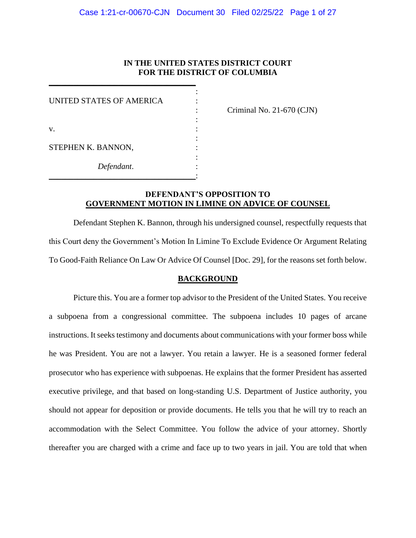# **IN THE UNITED STATES DISTRICT COURT FOR THE DISTRICT OF COLUMBIA**

| Criminal No. |
|--------------|
|              |
|              |
|              |
|              |
|              |
|              |
|              |

\_\_\_\_\_\_\_\_\_\_\_\_\_\_\_\_\_\_\_\_\_\_\_\_\_\_\_\_\_\_\_\_\_\_\_\_:

\_\_\_\_\_\_\_\_\_\_\_\_\_\_\_\_\_\_\_\_\_\_\_\_\_\_\_\_\_\_\_\_\_\_\_\_

: Criminal No. 21-670 (CJN)

# **DEFENDANT'S OPPOSITION TO GOVERNMENT MOTION IN LIMINE ON ADVICE OF COUNSEL**

Defendant Stephen K. Bannon, through his undersigned counsel, respectfully requests that this Court deny the Government's Motion In Limine To Exclude Evidence Or Argument Relating To Good-Faith Reliance On Law Or Advice Of Counsel [Doc. 29], for the reasons set forth below.

#### **BACKGROUND**

Picture this. You are a former top advisor to the President of the United States. You receive a subpoena from a congressional committee. The subpoena includes 10 pages of arcane instructions. It seeks testimony and documents about communications with your former boss while he was President. You are not a lawyer. You retain a lawyer. He is a seasoned former federal prosecutor who has experience with subpoenas. He explains that the former President has asserted executive privilege, and that based on long-standing U.S. Department of Justice authority, you should not appear for deposition or provide documents. He tells you that he will try to reach an accommodation with the Select Committee. You follow the advice of your attorney. Shortly thereafter you are charged with a crime and face up to two years in jail. You are told that when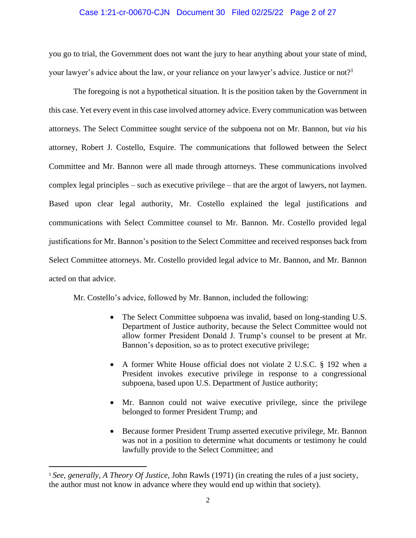## Case 1:21-cr-00670-CJN Document 30 Filed 02/25/22 Page 2 of 27

you go to trial, the Government does not want the jury to hear anything about your state of mind, your lawyer's advice about the law, or your reliance on your lawyer's advice. Justice or not?<sup>1</sup>

The foregoing is not a hypothetical situation. It is the position taken by the Government in this case. Yet every event in this case involved attorney advice. Every communication was between attorneys. The Select Committee sought service of the subpoena not on Mr. Bannon, but *via* his attorney, Robert J. Costello, Esquire. The communications that followed between the Select Committee and Mr. Bannon were all made through attorneys. These communications involved complex legal principles – such as executive privilege – that are the argot of lawyers, not laymen. Based upon clear legal authority, Mr. Costello explained the legal justifications and communications with Select Committee counsel to Mr. Bannon. Mr. Costello provided legal justifications for Mr. Bannon's position to the Select Committee and received responses back from Select Committee attorneys. Mr. Costello provided legal advice to Mr. Bannon, and Mr. Bannon acted on that advice.

Mr. Costello's advice, followed by Mr. Bannon, included the following:

- The Select Committee subpoena was invalid, based on long-standing U.S. Department of Justice authority, because the Select Committee would not allow former President Donald J. Trump's counsel to be present at Mr. Bannon's deposition, so as to protect executive privilege;
- A former White House official does not violate 2 U.S.C. § 192 when a President invokes executive privilege in response to a congressional subpoena, based upon U.S. Department of Justice authority;
- Mr. Bannon could not waive executive privilege, since the privilege belonged to former President Trump; and
- Because former President Trump asserted executive privilege, Mr. Bannon was not in a position to determine what documents or testimony he could lawfully provide to the Select Committee; and

<sup>1</sup> *See*, *generally*, *A Theory Of Justice,* John Rawls (1971) (in creating the rules of a just society, the author must not know in advance where they would end up within that society).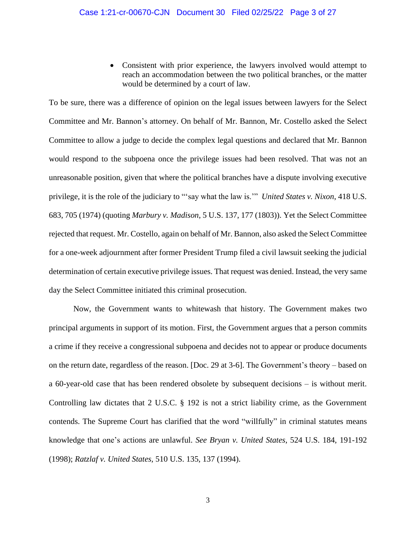• Consistent with prior experience, the lawyers involved would attempt to reach an accommodation between the two political branches, or the matter would be determined by a court of law.

To be sure, there was a difference of opinion on the legal issues between lawyers for the Select Committee and Mr. Bannon's attorney. On behalf of Mr. Bannon, Mr. Costello asked the Select Committee to allow a judge to decide the complex legal questions and declared that Mr. Bannon would respond to the subpoena once the privilege issues had been resolved. That was not an unreasonable position, given that where the political branches have a dispute involving executive privilege, it is the role of the judiciary to "'say what the law is.'" *United States v. Nixon*, 418 U.S. 683, 705 (1974) (quoting *Marbury v. Madison*, 5 U.S. 137, 177 (1803)). Yet the Select Committee rejected that request. Mr. Costello, again on behalf of Mr. Bannon, also asked the Select Committee for a one-week adjournment after former President Trump filed a civil lawsuit seeking the judicial determination of certain executive privilege issues. That request was denied. Instead, the very same day the Select Committee initiated this criminal prosecution.

Now, the Government wants to whitewash that history. The Government makes two principal arguments in support of its motion. First, the Government argues that a person commits a crime if they receive a congressional subpoena and decides not to appear or produce documents on the return date, regardless of the reason. [Doc. 29 at 3-6]. The Government's theory – based on a 60-year-old case that has been rendered obsolete by subsequent decisions – is without merit. Controlling law dictates that 2 U.S.C. § 192 is not a strict liability crime, as the Government contends. The Supreme Court has clarified that the word "willfully" in criminal statutes means knowledge that one's actions are unlawful. *See Bryan v. United States*, 524 U.S. 184, 191-192 (1998); *Ratzlaf v. United States,* 510 U.S. 135, 137 (1994).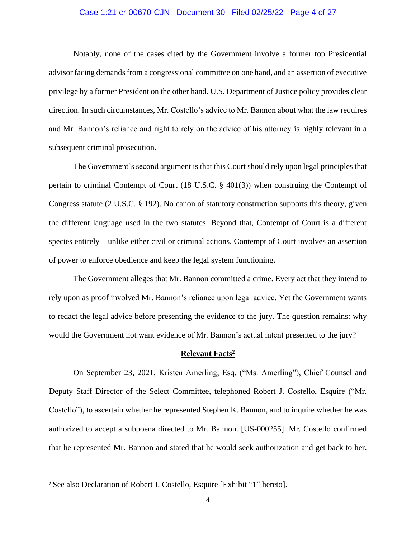#### Case 1:21-cr-00670-CJN Document 30 Filed 02/25/22 Page 4 of 27

Notably, none of the cases cited by the Government involve a former top Presidential advisor facing demands from a congressional committee on one hand, and an assertion of executive privilege by a former President on the other hand. U.S. Department of Justice policy provides clear direction. In such circumstances, Mr. Costello's advice to Mr. Bannon about what the law requires and Mr. Bannon's reliance and right to rely on the advice of his attorney is highly relevant in a subsequent criminal prosecution.

The Government's second argument is that this Court should rely upon legal principles that pertain to criminal Contempt of Court (18 U.S.C. § 401(3)) when construing the Contempt of Congress statute (2 U.S.C. § 192). No canon of statutory construction supports this theory, given the different language used in the two statutes. Beyond that, Contempt of Court is a different species entirely – unlike either civil or criminal actions. Contempt of Court involves an assertion of power to enforce obedience and keep the legal system functioning.

The Government alleges that Mr. Bannon committed a crime. Every act that they intend to rely upon as proof involved Mr. Bannon's reliance upon legal advice. Yet the Government wants to redact the legal advice before presenting the evidence to the jury. The question remains: why would the Government not want evidence of Mr. Bannon's actual intent presented to the jury?

#### **Relevant Facts<sup>2</sup>**

On September 23, 2021, Kristen Amerling, Esq. ("Ms. Amerling"), Chief Counsel and Deputy Staff Director of the Select Committee, telephoned Robert J. Costello, Esquire ("Mr. Costello"), to ascertain whether he represented Stephen K. Bannon, and to inquire whether he was authorized to accept a subpoena directed to Mr. Bannon. [US-000255]. Mr. Costello confirmed that he represented Mr. Bannon and stated that he would seek authorization and get back to her.

<sup>2</sup> See also Declaration of Robert J. Costello, Esquire [Exhibit "1" hereto].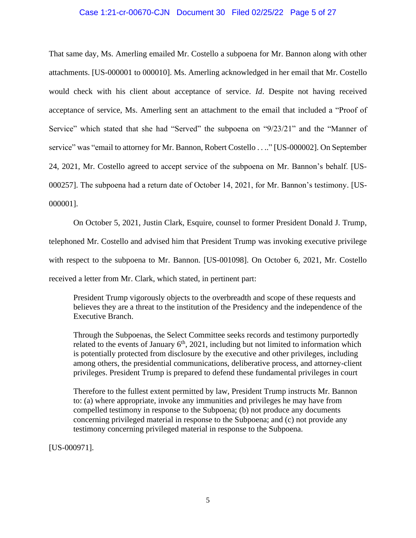#### Case 1:21-cr-00670-CJN Document 30 Filed 02/25/22 Page 5 of 27

That same day, Ms. Amerling emailed Mr. Costello a subpoena for Mr. Bannon along with other attachments. [US-000001 to 000010]. Ms. Amerling acknowledged in her email that Mr. Costello would check with his client about acceptance of service. *Id*. Despite not having received acceptance of service, Ms. Amerling sent an attachment to the email that included a "Proof of Service" which stated that she had "Served" the subpoena on "9/23/21" and the "Manner of service" was "email to attorney for Mr. Bannon, Robert Costello . . .." [US-000002]. On September 24, 2021, Mr. Costello agreed to accept service of the subpoena on Mr. Bannon's behalf. [US-000257]. The subpoena had a return date of October 14, 2021, for Mr. Bannon's testimony. [US-000001].

On October 5, 2021, Justin Clark, Esquire, counsel to former President Donald J. Trump, telephoned Mr. Costello and advised him that President Trump was invoking executive privilege with respect to the subpoena to Mr. Bannon. [US-001098]. On October 6, 2021, Mr. Costello received a letter from Mr. Clark, which stated, in pertinent part:

President Trump vigorously objects to the overbreadth and scope of these requests and believes they are a threat to the institution of the Presidency and the independence of the Executive Branch.

Through the Subpoenas, the Select Committee seeks records and testimony purportedly related to the events of January  $6<sup>th</sup>$ , 2021, including but not limited to information which is potentially protected from disclosure by the executive and other privileges, including among others, the presidential communications, deliberative process, and attorney-client privileges. President Trump is prepared to defend these fundamental privileges in court

Therefore to the fullest extent permitted by law, President Trump instructs Mr. Bannon to: (a) where appropriate, invoke any immunities and privileges he may have from compelled testimony in response to the Subpoena; (b) not produce any documents concerning privileged material in response to the Subpoena; and (c) not provide any testimony concerning privileged material in response to the Subpoena.

[US-000971].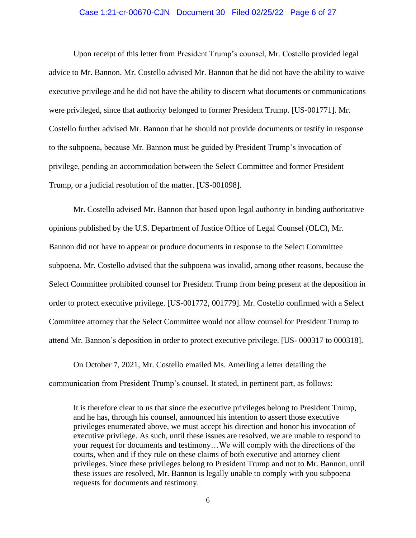#### Case 1:21-cr-00670-CJN Document 30 Filed 02/25/22 Page 6 of 27

Upon receipt of this letter from President Trump's counsel, Mr. Costello provided legal advice to Mr. Bannon. Mr. Costello advised Mr. Bannon that he did not have the ability to waive executive privilege and he did not have the ability to discern what documents or communications were privileged, since that authority belonged to former President Trump. [US-001771]. Mr. Costello further advised Mr. Bannon that he should not provide documents or testify in response to the subpoena, because Mr. Bannon must be guided by President Trump's invocation of privilege, pending an accommodation between the Select Committee and former President Trump, or a judicial resolution of the matter. [US-001098].

Mr. Costello advised Mr. Bannon that based upon legal authority in binding authoritative opinions published by the U.S. Department of Justice Office of Legal Counsel (OLC), Mr. Bannon did not have to appear or produce documents in response to the Select Committee subpoena. Mr. Costello advised that the subpoena was invalid, among other reasons, because the Select Committee prohibited counsel for President Trump from being present at the deposition in order to protect executive privilege. [US-001772, 001779]. Mr. Costello confirmed with a Select Committee attorney that the Select Committee would not allow counsel for President Trump to attend Mr. Bannon's deposition in order to protect executive privilege. [US- 000317 to 000318].

On October 7, 2021, Mr. Costello emailed Ms. Amerling a letter detailing the communication from President Trump's counsel. It stated, in pertinent part, as follows:

It is therefore clear to us that since the executive privileges belong to President Trump, and he has, through his counsel, announced his intention to assert those executive privileges enumerated above, we must accept his direction and honor his invocation of executive privilege. As such, until these issues are resolved, we are unable to respond to your request for documents and testimony…We will comply with the directions of the courts, when and if they rule on these claims of both executive and attorney client privileges. Since these privileges belong to President Trump and not to Mr. Bannon, until these issues are resolved, Mr. Bannon is legally unable to comply with you subpoena requests for documents and testimony.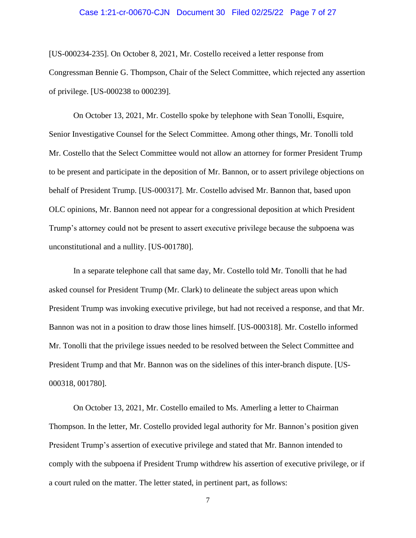#### Case 1:21-cr-00670-CJN Document 30 Filed 02/25/22 Page 7 of 27

[US-000234-235]. On October 8, 2021, Mr. Costello received a letter response from Congressman Bennie G. Thompson, Chair of the Select Committee, which rejected any assertion of privilege. [US-000238 to 000239].

On October 13, 2021, Mr. Costello spoke by telephone with Sean Tonolli, Esquire, Senior Investigative Counsel for the Select Committee. Among other things, Mr. Tonolli told Mr. Costello that the Select Committee would not allow an attorney for former President Trump to be present and participate in the deposition of Mr. Bannon, or to assert privilege objections on behalf of President Trump. [US-000317]. Mr. Costello advised Mr. Bannon that, based upon OLC opinions, Mr. Bannon need not appear for a congressional deposition at which President Trump's attorney could not be present to assert executive privilege because the subpoena was unconstitutional and a nullity. [US-001780].

In a separate telephone call that same day, Mr. Costello told Mr. Tonolli that he had asked counsel for President Trump (Mr. Clark) to delineate the subject areas upon which President Trump was invoking executive privilege, but had not received a response, and that Mr. Bannon was not in a position to draw those lines himself. [US-000318]. Mr. Costello informed Mr. Tonolli that the privilege issues needed to be resolved between the Select Committee and President Trump and that Mr. Bannon was on the sidelines of this inter-branch dispute. [US-000318, 001780].

On October 13, 2021, Mr. Costello emailed to Ms. Amerling a letter to Chairman Thompson. In the letter, Mr. Costello provided legal authority for Mr. Bannon's position given President Trump's assertion of executive privilege and stated that Mr. Bannon intended to comply with the subpoena if President Trump withdrew his assertion of executive privilege, or if a court ruled on the matter. The letter stated, in pertinent part, as follows: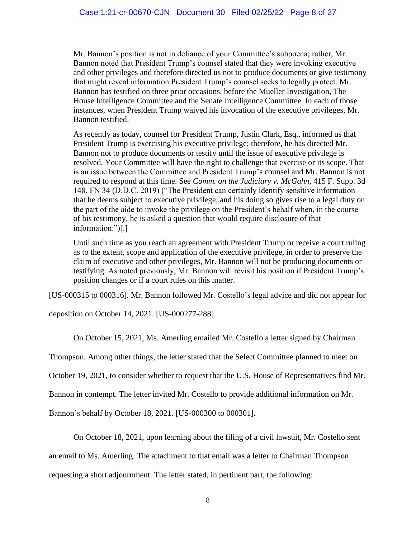Mr. Bannon's position is not in defiance of your Committee's subpoena; rather, Mr. Bannon noted that President Trump's counsel stated that they were invoking executive and other privileges and therefore directed us not to produce documents or give testimony that might reveal information President Trump's counsel seeks to legally protect. Mr. Bannon has testified on three prior occasions, before the Mueller Investigation, The House Intelligence Committee and the Senate Intelligence Committee. In each of those instances, when President Trump waived his invocation of the executive privileges, Mr. Bannon testified.

As recently as today, counsel for President Trump, Justin Clark, Esq., informed us that President Trump is exercising his executive privilege; therefore, he has directed Mr. Bannon not to produce documents or testify until the issue of executive privilege is resolved. Your Committee will have the right to challenge that exercise or its scope. That is an issue between the Committee and President Trump's counsel and Mr. Bannon is not required to respond at this time. See *Comm. on the Judiciary v. McGahn*, 415 F. Supp. 3d 148, FN 34 (D.D.C. 2019) ("The President can certainly identify sensitive information that he deems subject to executive privilege, and his doing so gives rise to a legal duty on the part of the aide to invoke the privilege on the President's behalf when, in the course of his testimony, he is asked a question that would require disclosure of that information.")[.]

Until such time as you reach an agreement with President Trump or receive a court ruling as to the extent, scope and application of the executive privilege, in order to preserve the claim of executive and other privileges, Mr. Bannon will not be producing documents or testifying. As noted previously, Mr. Bannon will revisit his position if President Trump's position changes or if a court rules on this matter.

[US-000315 to 000316]. Mr. Bannon followed Mr. Costello's legal advice and did not appear for

deposition on October 14, 2021. [US-000277-288].

On October 15, 2021, Ms. Amerling emailed Mr. Costello a letter signed by Chairman

Thompson. Among other things, the letter stated that the Select Committee planned to meet on

October 19, 2021, to consider whether to request that the U.S. House of Representatives find Mr.

Bannon in contempt. The letter invited Mr. Costello to provide additional information on Mr.

Bannon's behalf by October 18, 2021. [US-000300 to 000301].

On October 18, 2021, upon learning about the filing of a civil lawsuit, Mr. Costello sent

an email to Ms. Amerling. The attachment to that email was a letter to Chairman Thompson

requesting a short adjournment. The letter stated, in pertinent part, the following: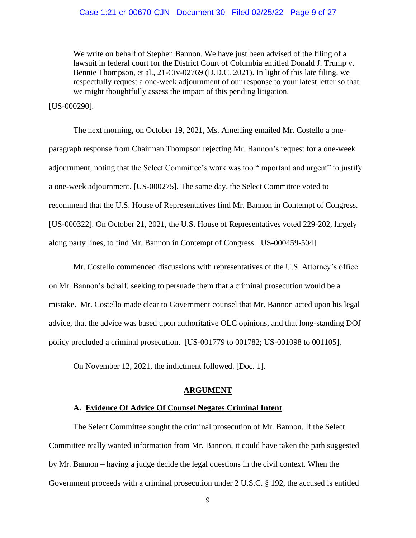#### Case 1:21-cr-00670-CJN Document 30 Filed 02/25/22 Page 9 of 27

We write on behalf of Stephen Bannon. We have just been advised of the filing of a lawsuit in federal court for the District Court of Columbia entitled Donald J. Trump v. Bennie Thompson, et al., 21-Civ-02769 (D.D.C. 2021). In light of this late filing, we respectfully request a one-week adjournment of our response to your latest letter so that we might thoughtfully assess the impact of this pending litigation.

[US-000290].

The next morning, on October 19, 2021, Ms. Amerling emailed Mr. Costello a oneparagraph response from Chairman Thompson rejecting Mr. Bannon's request for a one-week adjournment, noting that the Select Committee's work was too "important and urgent" to justify a one-week adjournment. [US-000275]. The same day, the Select Committee voted to recommend that the U.S. House of Representatives find Mr. Bannon in Contempt of Congress. [US-000322]. On October 21, 2021, the U.S. House of Representatives voted 229-202, largely along party lines, to find Mr. Bannon in Contempt of Congress. [US-000459-504].

Mr. Costello commenced discussions with representatives of the U.S. Attorney's office on Mr. Bannon's behalf, seeking to persuade them that a criminal prosecution would be a mistake. Mr. Costello made clear to Government counsel that Mr. Bannon acted upon his legal advice, that the advice was based upon authoritative OLC opinions, and that long-standing DOJ policy precluded a criminal prosecution. [US-001779 to 001782; US-001098 to 001105].

On November 12, 2021, the indictment followed. [Doc. 1].

#### **ARGUMENT**

## **A. Evidence Of Advice Of Counsel Negates Criminal Intent**

The Select Committee sought the criminal prosecution of Mr. Bannon. If the Select Committee really wanted information from Mr. Bannon, it could have taken the path suggested by Mr. Bannon – having a judge decide the legal questions in the civil context. When the Government proceeds with a criminal prosecution under 2 U.S.C. § 192, the accused is entitled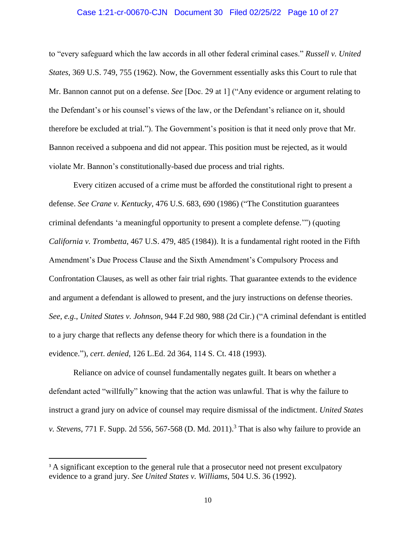#### Case 1:21-cr-00670-CJN Document 30 Filed 02/25/22 Page 10 of 27

to "every safeguard which the law accords in all other federal criminal cases." *Russell v. United States*, 369 U.S. 749, 755 (1962). Now, the Government essentially asks this Court to rule that Mr. Bannon cannot put on a defense. *See* [Doc. 29 at 1] ("Any evidence or argument relating to the Defendant's or his counsel's views of the law, or the Defendant's reliance on it, should therefore be excluded at trial."). The Government's position is that it need only prove that Mr. Bannon received a subpoena and did not appear. This position must be rejected, as it would violate Mr. Bannon's constitutionally-based due process and trial rights.

Every citizen accused of a crime must be afforded the constitutional right to present a defense. *See Crane v. Kentucky*, 476 U.S. 683, 690 (1986) ("The Constitution guarantees criminal defendants 'a meaningful opportunity to present a complete defense.'") (quoting *California v. Trombetta*, 467 U.S. 479, 485 (1984)). It is a fundamental right rooted in the Fifth Amendment's Due Process Clause and the Sixth Amendment's Compulsory Process and Confrontation Clauses, as well as other fair trial rights. That guarantee extends to the evidence and argument a defendant is allowed to present, and the jury instructions on defense theories. *See*, *e.g*., *United States v. Johnson*, 944 F.2d 980, 988 (2d Cir.) ("A criminal defendant is entitled to a jury charge that reflects any defense theory for which there is a foundation in the evidence."), *cert*. *denied*, 126 L.Ed. 2d 364, 114 S. Ct. 418 (1993).

Reliance on advice of counsel fundamentally negates guilt. It bears on whether a defendant acted "willfully" knowing that the action was unlawful. That is why the failure to instruct a grand jury on advice of counsel may require dismissal of the indictment. *United States v. Stevens*, 771 F. Supp. 2d 556, 567-568 (D. Md. 2011). <sup>3</sup> That is also why failure to provide an

<sup>&</sup>lt;sup>3</sup> A significant exception to the general rule that a prosecutor need not present exculpatory evidence to a grand jury. *See United States v. Williams*, 504 U.S. 36 (1992).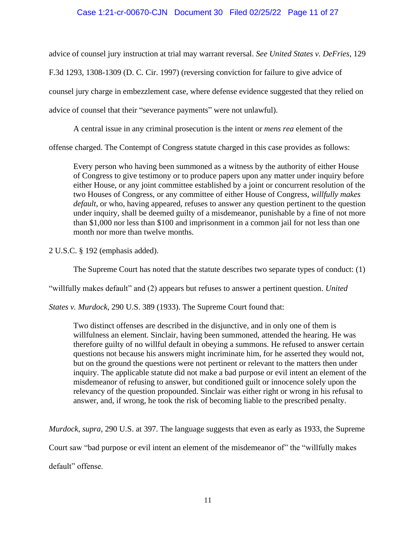## Case 1:21-cr-00670-CJN Document 30 Filed 02/25/22 Page 11 of 27

advice of counsel jury instruction at trial may warrant reversal. *See United States v. DeFries*, 129

F.3d 1293, 1308-1309 (D. C. Cir. 1997) (reversing conviction for failure to give advice of

counsel jury charge in embezzlement case, where defense evidence suggested that they relied on

advice of counsel that their "severance payments" were not unlawful).

A central issue in any criminal prosecution is the intent or *mens rea* element of the

offense charged. The Contempt of Congress statute charged in this case provides as follows:

Every person who having been summoned as a witness by the authority of either House of Congress to give testimony or to produce papers upon any matter under inquiry before either House, or any joint committee established by a joint or concurrent resolution of the two Houses of Congress, or any committee of either House of Congress, *willfully makes default*, or who, having appeared, refuses to answer any question pertinent to the question under inquiry, shall be deemed guilty of a misdemeanor, punishable by a fine of not more than \$1,000 nor less than \$100 and imprisonment in a common jail for not less than one month nor more than twelve months.

2 U.S.C. § 192 (emphasis added).

The Supreme Court has noted that the statute describes two separate types of conduct: (1)

"willfully makes default" and (2) appears but refuses to answer a pertinent question. *United* 

*States v. Murdock*, 290 U.S. 389 (1933). The Supreme Court found that:

Two distinct offenses are described in the disjunctive, and in only one of them is willfulness an element. Sinclair, having been summoned, attended the hearing. He was therefore guilty of no willful default in obeying a summons. He refused to answer certain questions not because his answers might incriminate him, for he asserted they would not, but on the ground the questions were not pertinent or relevant to the matters then under inquiry. The applicable statute did not make a bad purpose or evil intent an element of the misdemeanor of refusing to answer, but conditioned guilt or innocence solely upon the relevancy of the question propounded. Sinclair was either right or wrong in his refusal to answer, and, if wrong, he took the risk of becoming liable to the prescribed penalty.

*Murdock*, *supra*, 290 U.S. at 397. The language suggests that even as early as 1933, the Supreme

Court saw "bad purpose or evil intent an element of the misdemeanor of" the "willfully makes

default" offense.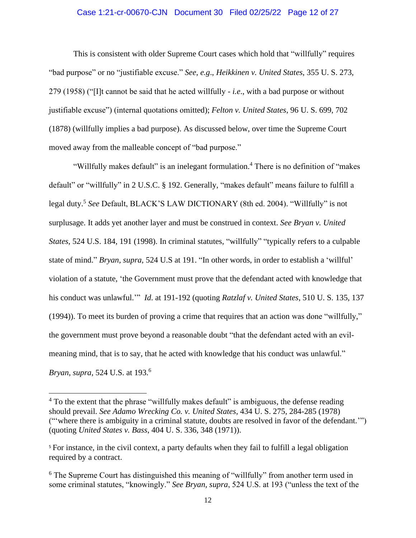## Case 1:21-cr-00670-CJN Document 30 Filed 02/25/22 Page 12 of 27

This is consistent with older Supreme Court cases which hold that "willfully" requires "bad purpose" or no "justifiable excuse." *See*, *e.g*., *Heikkinen v. United States*, 355 U. S. 273, 279 (1958) ("[I]t cannot be said that he acted willfully - *i.e*., with a bad purpose or without justifiable excuse") (internal quotations omitted); *Felton v. United States*, 96 U. S. 699, 702 (1878) (willfully implies a bad purpose). As discussed below, over time the Supreme Court moved away from the malleable concept of "bad purpose."

"Willfully makes default" is an inelegant formulation.<sup>4</sup> There is no definition of "makes" default" or "willfully" in 2 U.S.C. § 192. Generally, "makes default" means failure to fulfill a legal duty.<sup>5</sup> *See* Default, BLACK'S LAW DICTIONARY (8th ed. 2004). "Willfully" is not surplusage. It adds yet another layer and must be construed in context. *See Bryan v. United States*, 524 U.S. 184, 191 (1998). In criminal statutes, "willfully" "typically refers to a culpable state of mind." *Bryan, supra,* 524 U.S at 191. "In other words, in order to establish a 'willful' violation of a statute, 'the Government must prove that the defendant acted with knowledge that his conduct was unlawful.'" *Id*. at 191-192 (quoting *Ratzlaf v. United States*, 510 U. S. 135, 137 (1994)). To meet its burden of proving a crime that requires that an action was done "willfully," the government must prove beyond a reasonable doubt "that the defendant acted with an evilmeaning mind, that is to say, that he acted with knowledge that his conduct was unlawful." *Bryan*, *supra*, 524 U.S. at 193.<sup>6</sup>

<sup>&</sup>lt;sup>4</sup> To the extent that the phrase "willfully makes default" is ambiguous, the defense reading should prevail. *See Adamo Wrecking Co. v. United States*, 434 U. S. 275, 284-285 (1978) ("'where there is ambiguity in a criminal statute, doubts are resolved in favor of the defendant.'") (quoting *United States v. Bass*, 404 U. S. 336, 348 (1971)).

<sup>5</sup> For instance, in the civil context, a party defaults when they fail to fulfill a legal obligation required by a contract.

<sup>&</sup>lt;sup>6</sup> The Supreme Court has distinguished this meaning of "willfully" from another term used in some criminal statutes, "knowingly." *See Bryan*, *supra*, 524 U.S. at 193 ("unless the text of the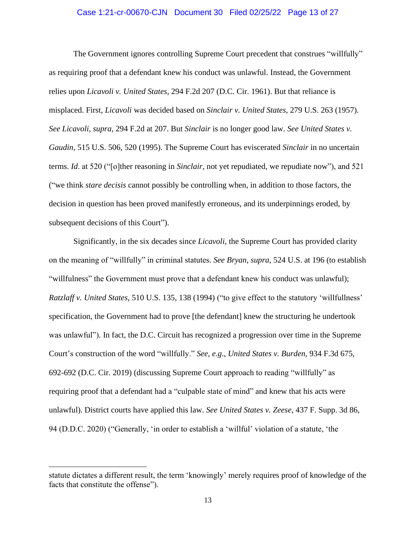#### Case 1:21-cr-00670-CJN Document 30 Filed 02/25/22 Page 13 of 27

The Government ignores controlling Supreme Court precedent that construes "willfully" as requiring proof that a defendant knew his conduct was unlawful. Instead, the Government relies upon *Licavoli v. United States*, 294 F.2d 207 (D.C. Cir. 1961). But that reliance is misplaced. First, *Licavoli* was decided based on *Sinclair v. United States*, 279 U.S. 263 (1957). *See Licavoli*, *supra*, 294 F.2d at 207. But *Sinclair* is no longer good law. *See United States v. Gaudin*, 515 U.S. 506, 520 (1995). The Supreme Court has eviscerated *Sinclair* in no uncertain terms. *Id*. at 520 ("[o]ther reasoning in *Sinclair*, not yet repudiated, we repudiate now"), and 521 ("we think *stare decisis* cannot possibly be controlling when, in addition to those factors, the decision in question has been proved manifestly erroneous, and its underpinnings eroded, by subsequent decisions of this Court").

 Significantly, in the six decades since *Licavoli*, the Supreme Court has provided clarity on the meaning of "willfully" in criminal statutes. *See Bryan*, *supra*, 524 U.S. at 196 (to establish "willfulness" the Government must prove that a defendant knew his conduct was unlawful); *Ratzlaff v. United States*, 510 U.S. 135, 138 (1994) ("to give effect to the statutory 'willfullness' specification, the Government had to prove [the defendant] knew the structuring he undertook was unlawful"). In fact, the D.C. Circuit has recognized a progression over time in the Supreme Court's construction of the word "willfully." *See*, *e.g*., *United States v. Burden*, 934 F.3d 675, 692-692 (D.C. Cir. 2019) (discussing Supreme Court approach to reading "willfully" as requiring proof that a defendant had a "culpable state of mind" and knew that his acts were unlawful). District courts have applied this law. *See United States v. Zeese*, 437 F. Supp. 3d 86, 94 (D.D.C. 2020) ("Generally, 'in order to establish a 'willful' violation of a statute, 'the

statute dictates a different result, the term 'knowingly' merely requires proof of knowledge of the facts that constitute the offense").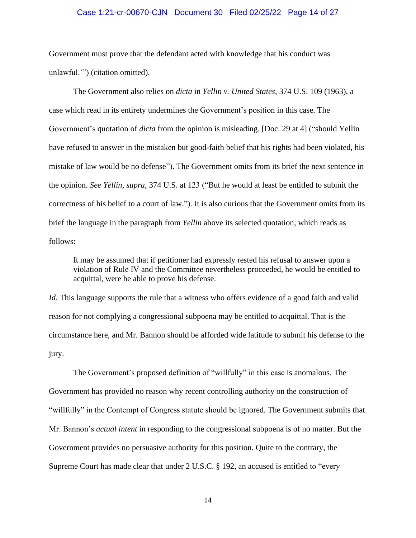#### Case 1:21-cr-00670-CJN Document 30 Filed 02/25/22 Page 14 of 27

Government must prove that the defendant acted with knowledge that his conduct was unlawful.'") (citation omitted).

The Government also relies on *dicta* in *Yellin v. United States*, 374 U.S. 109 (1963), a case which read in its entirety undermines the Government's position in this case. The Government's quotation of *dicta* from the opinion is misleading. [Doc. 29 at 4] ("should Yellin have refused to answer in the mistaken but good-faith belief that his rights had been violated, his mistake of law would be no defense"). The Government omits from its brief the next sentence in the opinion. *See Yellin*, *supra*, 374 U.S. at 123 ("But he would at least be entitled to submit the correctness of his belief to a court of law."). It is also curious that the Government omits from its brief the language in the paragraph from *Yellin* above its selected quotation, which reads as follows:

It may be assumed that if petitioner had expressly rested his refusal to answer upon a violation of Rule IV and the Committee nevertheless proceeded, he would be entitled to acquittal, were he able to prove his defense.

*Id*. This language supports the rule that a witness who offers evidence of a good faith and valid reason for not complying a congressional subpoena may be entitled to acquittal. That is the circumstance here, and Mr. Bannon should be afforded wide latitude to submit his defense to the jury.

The Government's proposed definition of "willfully" in this case is anomalous. The Government has provided no reason why recent controlling authority on the construction of "willfully" in the Contempt of Congress statute should be ignored. The Government submits that Mr. Bannon's *actual intent* in responding to the congressional subpoena is of no matter. But the Government provides no persuasive authority for this position. Quite to the contrary, the Supreme Court has made clear that under 2 U.S.C. § 192, an accused is entitled to "every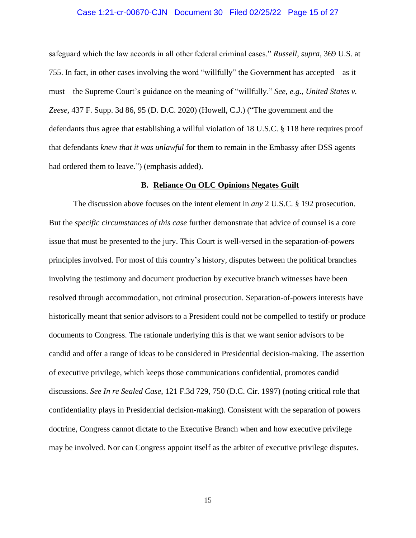#### Case 1:21-cr-00670-CJN Document 30 Filed 02/25/22 Page 15 of 27

safeguard which the law accords in all other federal criminal cases." *Russell*, *supra*, 369 U.S. at 755. In fact, in other cases involving the word "willfully" the Government has accepted – as it must – the Supreme Court's guidance on the meaning of "willfully." *See*, *e.g*., *United States v. Zeese,* 437 F. Supp. 3d 86, 95 (D. D.C. 2020) (Howell, C.J.) ("The government and the defendants thus agree that establishing a willful violation of 18 U.S.C. § 118 here requires proof that defendants *knew that it was unlawful* for them to remain in the Embassy after DSS agents had ordered them to leave.") (emphasis added).

#### **B. Reliance On OLC Opinions Negates Guilt**

The discussion above focuses on the intent element in *any* 2 U.S.C. § 192 prosecution. But the *specific circumstances of this case* further demonstrate that advice of counsel is a core issue that must be presented to the jury. This Court is well-versed in the separation-of-powers principles involved. For most of this country's history, disputes between the political branches involving the testimony and document production by executive branch witnesses have been resolved through accommodation, not criminal prosecution. Separation-of-powers interests have historically meant that senior advisors to a President could not be compelled to testify or produce documents to Congress. The rationale underlying this is that we want senior advisors to be candid and offer a range of ideas to be considered in Presidential decision-making. The assertion of executive privilege, which keeps those communications confidential, promotes candid discussions. *See In re Sealed Case*, 121 F.3d 729, 750 (D.C. Cir. 1997) (noting critical role that confidentiality plays in Presidential decision-making). Consistent with the separation of powers doctrine, Congress cannot dictate to the Executive Branch when and how executive privilege may be involved. Nor can Congress appoint itself as the arbiter of executive privilege disputes.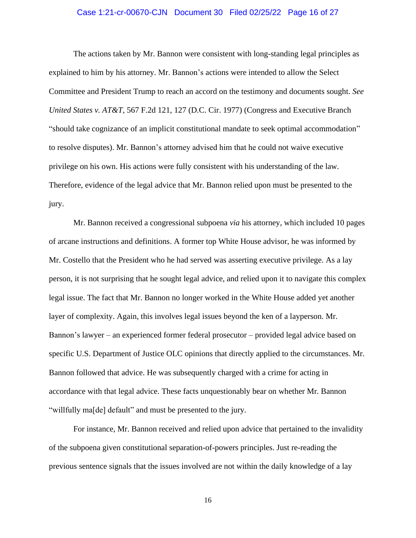### Case 1:21-cr-00670-CJN Document 30 Filed 02/25/22 Page 16 of 27

The actions taken by Mr. Bannon were consistent with long-standing legal principles as explained to him by his attorney. Mr. Bannon's actions were intended to allow the Select Committee and President Trump to reach an accord on the testimony and documents sought. *See United States v. AT&T*, 567 F.2d 121, 127 (D.C. Cir. 1977) (Congress and Executive Branch "should take cognizance of an implicit constitutional mandate to seek optimal accommodation" to resolve disputes). Mr. Bannon's attorney advised him that he could not waive executive privilege on his own. His actions were fully consistent with his understanding of the law. Therefore, evidence of the legal advice that Mr. Bannon relied upon must be presented to the jury.

Mr. Bannon received a congressional subpoena *via* his attorney, which included 10 pages of arcane instructions and definitions. A former top White House advisor, he was informed by Mr. Costello that the President who he had served was asserting executive privilege. As a lay person, it is not surprising that he sought legal advice, and relied upon it to navigate this complex legal issue. The fact that Mr. Bannon no longer worked in the White House added yet another layer of complexity. Again, this involves legal issues beyond the ken of a layperson. Mr. Bannon's lawyer – an experienced former federal prosecutor – provided legal advice based on specific U.S. Department of Justice OLC opinions that directly applied to the circumstances. Mr. Bannon followed that advice. He was subsequently charged with a crime for acting in accordance with that legal advice. These facts unquestionably bear on whether Mr. Bannon "willfully ma[de] default" and must be presented to the jury.

For instance, Mr. Bannon received and relied upon advice that pertained to the invalidity of the subpoena given constitutional separation-of-powers principles. Just re-reading the previous sentence signals that the issues involved are not within the daily knowledge of a lay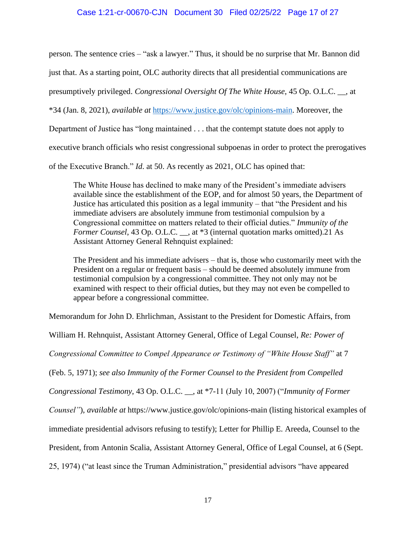## Case 1:21-cr-00670-CJN Document 30 Filed 02/25/22 Page 17 of 27

person. The sentence cries – "ask a lawyer." Thus, it should be no surprise that Mr. Bannon did

just that. As a starting point, OLC authority directs that all presidential communications are

presumptively privileged. *Congressional Oversight Of The White House*, 45 Op. O.L.C. \_\_, at

\*34 (Jan. 8, 2021), *available at* [https://www.justice.gov/olc/opinions-main.](https://www.justice.gov/olc/opinions-main) Moreover, the

Department of Justice has "long maintained . . . that the contempt statute does not apply to

executive branch officials who resist congressional subpoenas in order to protect the prerogatives

of the Executive Branch." *Id*. at 50. As recently as 2021, OLC has opined that:

The White House has declined to make many of the President's immediate advisers available since the establishment of the EOP, and for almost 50 years, the Department of Justice has articulated this position as a legal immunity – that "the President and his immediate advisers are absolutely immune from testimonial compulsion by a Congressional committee on matters related to their official duties." *Immunity of the Former Counsel*, 43 Op. O.L.C. \_\_, at \*3 (internal quotation marks omitted).21 As Assistant Attorney General Rehnquist explained:

The President and his immediate advisers – that is, those who customarily meet with the President on a regular or frequent basis – should be deemed absolutely immune from testimonial compulsion by a congressional committee. They not only may not be examined with respect to their official duties, but they may not even be compelled to appear before a congressional committee.

Memorandum for John D. Ehrlichman, Assistant to the President for Domestic Affairs, from

William H. Rehnquist, Assistant Attorney General, Office of Legal Counsel, *Re: Power of* 

*Congressional Committee to Compel Appearance or Testimony of "White House Staff"* at 7

(Feb. 5, 1971); *see also Immunity of the Former Counsel to the President from Compelled* 

*Congressional Testimony*, 43 Op. O.L.C. \_\_, at \*7-11 (July 10, 2007) ("*Immunity of Former* 

*Counsel"*), *available at* https://www.justice.gov/olc/opinions-main (listing historical examples of

immediate presidential advisors refusing to testify); Letter for Phillip E. Areeda, Counsel to the

President, from Antonin Scalia, Assistant Attorney General, Office of Legal Counsel, at 6 (Sept.

25, 1974) ("at least since the Truman Administration," presidential advisors "have appeared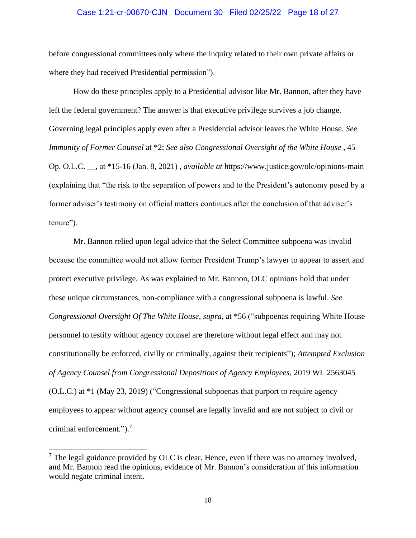#### Case 1:21-cr-00670-CJN Document 30 Filed 02/25/22 Page 18 of 27

before congressional committees only where the inquiry related to their own private affairs or where they had received Presidential permission").

How do these principles apply to a Presidential advisor like Mr. Bannon, after they have left the federal government? The answer is that executive privilege survives a job change. Governing legal principles apply even after a Presidential advisor leaves the White House. *See Immunity of Former Counsel* at \*2; *See also Congressional Oversight of the White House* , 45 Op. O.L.C. \_\_, at \*15-16 (Jan. 8, 2021) , *available at* https://www.justice.gov/olc/opinions-main (explaining that "the risk to the separation of powers and to the President's autonomy posed by a former adviser's testimony on official matters continues after the conclusion of that adviser's tenure").

Mr. Bannon relied upon legal advice that the Select Committee subpoena was invalid because the committee would not allow former President Trump's lawyer to appear to assert and protect executive privilege. As was explained to Mr. Bannon, OLC opinions hold that under these unique circumstances, non-compliance with a congressional subpoena is lawful. *See Congressional Oversight Of The White House*, *supra*, at \*56 ("subpoenas requiring White House personnel to testify without agency counsel are therefore without legal effect and may not constitutionally be enforced, civilly or criminally, against their recipients"); *Attempted Exclusion of Agency Counsel from Congressional Depositions of Agency Employees*, 2019 WL 2563045 (O.L.C.) at \*1 (May 23, 2019) ("Congressional subpoenas that purport to require agency employees to appear without agency counsel are legally invalid and are not subject to civil or criminal enforcement.").<sup>7</sup>

 $<sup>7</sup>$  The legal guidance provided by OLC is clear. Hence, even if there was no attorney involved,</sup> and Mr. Bannon read the opinions, evidence of Mr. Bannon's consideration of this information would negate criminal intent.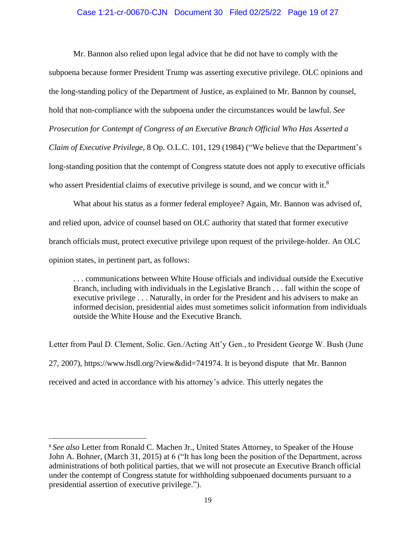## Case 1:21-cr-00670-CJN Document 30 Filed 02/25/22 Page 19 of 27

Mr. Bannon also relied upon legal advice that he did not have to comply with the subpoena because former President Trump was asserting executive privilege. OLC opinions and the long-standing policy of the Department of Justice, as explained to Mr. Bannon by counsel, hold that non-compliance with the subpoena under the circumstances would be lawful. *See Prosecution for Contempt of Congress of an Executive Branch Official Who Has Asserted a Claim of Executive Privilege*, 8 Op. O.L.C. 101, 129 (1984) ("We believe that the Department's long-standing position that the contempt of Congress statute does not apply to executive officials who assert Presidential claims of executive privilege is sound, and we concur with it.<sup>8</sup>

What about his status as a former federal employee? Again, Mr. Bannon was advised of, and relied upon, advice of counsel based on OLC authority that stated that former executive branch officials must, protect executive privilege upon request of the privilege-holder. An OLC opinion states, in pertinent part, as follows:

. . . communications between White House officials and individual outside the Executive Branch, including with individuals in the Legislative Branch . . . fall within the scope of executive privilege . . . Naturally, in order for the President and his advisers to make an informed decision, presidential aides must sometimes solicit information from individuals outside the White House and the Executive Branch.

Letter from Paul D. Clement, Solic. Gen./Acting Att'y Gen., to President George W. Bush (June 27, 2007), https://www.hsdl.org/?view&did=741974. It is beyond dispute that Mr. Bannon received and acted in accordance with his attorney's advice. This utterly negates the

<sup>8</sup> *See also* Letter from Ronald C. Machen Jr., United States Attorney, to Speaker of the House John A. Bohner, (March 31, 2015) at 6 ("It has long been the position of the Department, across administrations of both political parties, that we will not prosecute an Executive Branch official under the contempt of Congress statute for withholding subpoenaed documents pursuant to a presidential assertion of executive privilege.").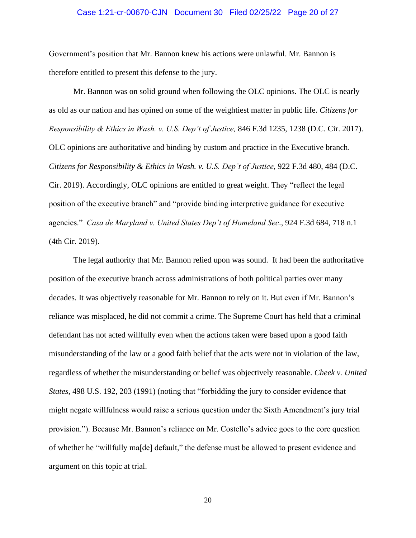#### Case 1:21-cr-00670-CJN Document 30 Filed 02/25/22 Page 20 of 27

Government's position that Mr. Bannon knew his actions were unlawful. Mr. Bannon is therefore entitled to present this defense to the jury.

Mr. Bannon was on solid ground when following the OLC opinions. The OLC is nearly as old as our nation and has opined on some of the weightiest matter in public life. *Citizens for Responsibility & Ethics in Wash. v. U.S. Dep't of Justice,* 846 F.3d 1235, 1238 (D.C. Cir. 2017). OLC opinions are authoritative and binding by custom and practice in the Executive branch. *Citizens for Responsibility & Ethics in Wash. v. U.S. Dep't of Justice*, 922 F.3d 480, 484 (D.C. Cir. 2019). Accordingly, OLC opinions are entitled to great weight. They "reflect the legal position of the executive branch" and "provide binding interpretive guidance for executive agencies." *Casa de Maryland v. United States Dep't of Homeland Sec*., 924 F.3d 684, 718 n.1 (4th Cir. 2019).

The legal authority that Mr. Bannon relied upon was sound. It had been the authoritative position of the executive branch across administrations of both political parties over many decades. It was objectively reasonable for Mr. Bannon to rely on it. But even if Mr. Bannon's reliance was misplaced, he did not commit a crime. The Supreme Court has held that a criminal defendant has not acted willfully even when the actions taken were based upon a good faith misunderstanding of the law or a good faith belief that the acts were not in violation of the law, regardless of whether the misunderstanding or belief was objectively reasonable. *Cheek v. United States*, 498 U.S. 192, 203 (1991) (noting that "forbidding the jury to consider evidence that might negate willfulness would raise a serious question under the Sixth Amendment's jury trial provision."). Because Mr. Bannon's reliance on Mr. Costello's advice goes to the core question of whether he "willfully ma[de] default," the defense must be allowed to present evidence and argument on this topic at trial.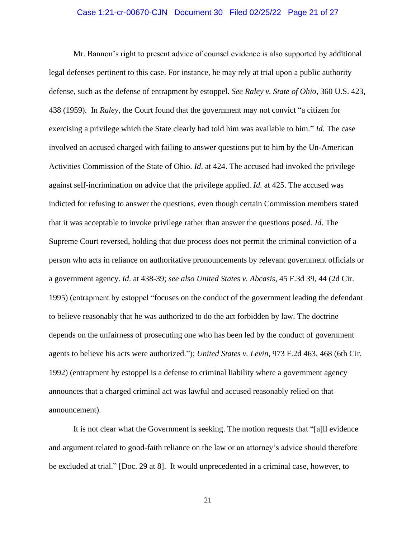#### Case 1:21-cr-00670-CJN Document 30 Filed 02/25/22 Page 21 of 27

Mr. Bannon's right to present advice of counsel evidence is also supported by additional legal defenses pertinent to this case. For instance, he may rely at trial upon a public authority defense, such as the defense of entrapment by estoppel. *See Raley v. State of Ohio*, 360 U.S. 423, 438 (1959). In *Raley*, the Court found that the government may not convict "a citizen for exercising a privilege which the State clearly had told him was available to him." *Id*. The case involved an accused charged with failing to answer questions put to him by the Un-American Activities Commission of the State of Ohio. *Id*. at 424. The accused had invoked the privilege against self-incrimination on advice that the privilege applied. *Id*. at 425. The accused was indicted for refusing to answer the questions, even though certain Commission members stated that it was acceptable to invoke privilege rather than answer the questions posed. *Id*. The Supreme Court reversed, holding that due process does not permit the criminal conviction of a person who acts in reliance on authoritative pronouncements by relevant government officials or a government agency. *Id*. at 438-39; *see also United States v. Abcasis*, 45 F.3d 39, 44 (2d Cir. 1995) (entrapment by estoppel "focuses on the conduct of the government leading the defendant to believe reasonably that he was authorized to do the act forbidden by law. The doctrine depends on the unfairness of prosecuting one who has been led by the conduct of government agents to believe his acts were authorized."); *United States v. Levin*, 973 F.2d 463, 468 (6th Cir. 1992) (entrapment by estoppel is a defense to criminal liability where a government agency announces that a charged criminal act was lawful and accused reasonably relied on that announcement).

It is not clear what the Government is seeking. The motion requests that "[a]ll evidence and argument related to good-faith reliance on the law or an attorney's advice should therefore be excluded at trial." [Doc. 29 at 8]. It would unprecedented in a criminal case, however, to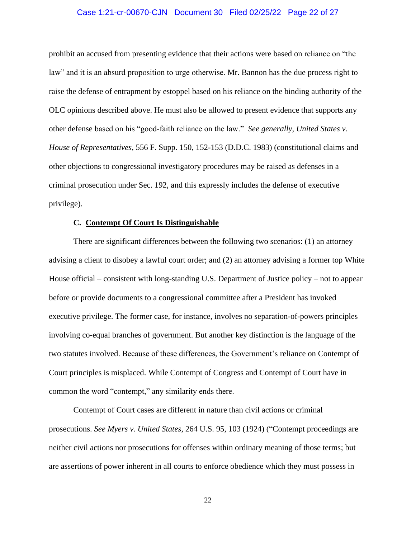### Case 1:21-cr-00670-CJN Document 30 Filed 02/25/22 Page 22 of 27

prohibit an accused from presenting evidence that their actions were based on reliance on "the law" and it is an absurd proposition to urge otherwise. Mr. Bannon has the due process right to raise the defense of entrapment by estoppel based on his reliance on the binding authority of the OLC opinions described above. He must also be allowed to present evidence that supports any other defense based on his "good-faith reliance on the law." *See generally*, *United States v. House of Representatives*, 556 F. Supp. 150, 152-153 (D.D.C. 1983) (constitutional claims and other objections to congressional investigatory procedures may be raised as defenses in a criminal prosecution under Sec. 192, and this expressly includes the defense of executive privilege).

#### **C. Contempt Of Court Is Distinguishable**

There are significant differences between the following two scenarios: (1) an attorney advising a client to disobey a lawful court order; and (2) an attorney advising a former top White House official – consistent with long-standing U.S. Department of Justice policy – not to appear before or provide documents to a congressional committee after a President has invoked executive privilege. The former case, for instance, involves no separation-of-powers principles involving co-equal branches of government. But another key distinction is the language of the two statutes involved. Because of these differences, the Government's reliance on Contempt of Court principles is misplaced. While Contempt of Congress and Contempt of Court have in common the word "contempt," any similarity ends there.

Contempt of Court cases are different in nature than civil actions or criminal prosecutions. *See Myers v. United States*, 264 U.S. 95, 103 (1924) ("Contempt proceedings are neither civil actions nor prosecutions for offenses within ordinary meaning of those terms; but are assertions of power inherent in all courts to enforce obedience which they must possess in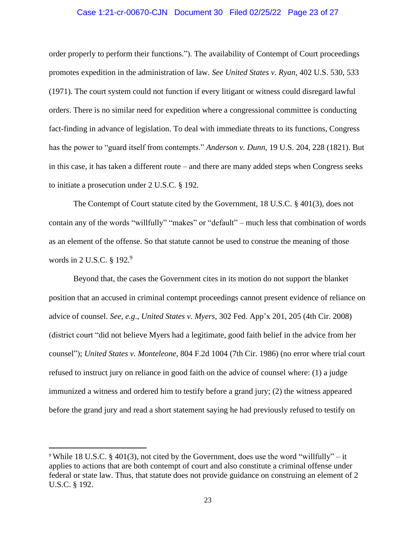#### Case 1:21-cr-00670-CJN Document 30 Filed 02/25/22 Page 23 of 27

order properly to perform their functions."). The availability of Contempt of Court proceedings promotes expedition in the administration of law. *See United States v. Ryan*, 402 U.S. 530, 533 (1971). The court system could not function if every litigant or witness could disregard lawful orders. There is no similar need for expedition where a congressional committee is conducting fact-finding in advance of legislation. To deal with immediate threats to its functions, Congress has the power to "guard itself from contempts." *Anderson v. Dunn*, 19 U.S. 204, 228 (1821). But in this case, it has taken a different route – and there are many added steps when Congress seeks to initiate a prosecution under 2 U.S.C. § 192.

The Contempt of Court statute cited by the Government, 18 U.S.C. § 401(3), does not contain any of the words "willfully" "makes" or "default" – much less that combination of words as an element of the offense. So that statute cannot be used to construe the meaning of those words in 2 U.S.C. § 192.<sup>9</sup>

Beyond that, the cases the Government cites in its motion do not support the blanket position that an accused in criminal contempt proceedings cannot present evidence of reliance on advice of counsel. *See*, *e.g*., *United States v. Myers*, 302 Fed. App'x 201, 205 (4th Cir. 2008) (district court "did not believe Myers had a legitimate, good faith belief in the advice from her counsel"); *United States v. Monteleone*, 804 F.2d 1004 (7th Cir. 1986) (no error where trial court refused to instruct jury on reliance in good faith on the advice of counsel where: (1) a judge immunized a witness and ordered him to testify before a grand jury; (2) the witness appeared before the grand jury and read a short statement saying he had previously refused to testify on

<sup>9</sup> While 18 U.S.C. § 401(3), not cited by the Government, does use the word "willfully" – it applies to actions that are both contempt of court and also constitute a criminal offense under federal or state law. Thus, that statute does not provide guidance on construing an element of 2 U.S.C. § 192.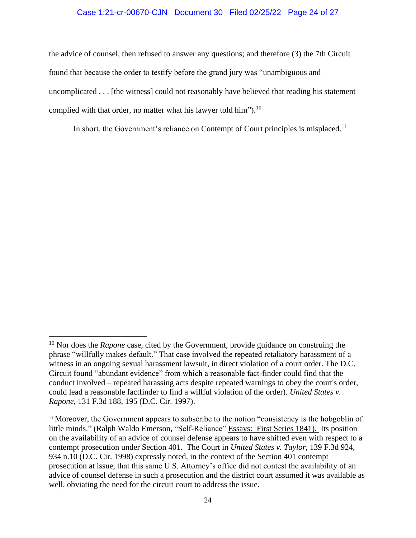## Case 1:21-cr-00670-CJN Document 30 Filed 02/25/22 Page 24 of 27

the advice of counsel, then refused to answer any questions; and therefore (3) the 7th Circuit found that because the order to testify before the grand jury was "unambiguous and uncomplicated . . . [the witness] could not reasonably have believed that reading his statement complied with that order, no matter what his lawyer told him").<sup>10</sup>

In short, the Government's reliance on Contempt of Court principles is misplaced.<sup>11</sup>

<sup>&</sup>lt;sup>10</sup> Nor does the *Rapone* case, cited by the Government, provide guidance on construing the phrase "willfully makes default." That case involved the repeated retaliatory harassment of a witness in an ongoing sexual harassment lawsuit, in direct violation of a court order. The D.C. Circuit found "abundant evidence" from which a reasonable fact-finder could find that the conduct involved – repeated harassing acts despite repeated warnings to obey the court's order, could lead a reasonable factfinder to find a willful violation of the order). *United States v. Rapone*, 131 F.3d 188, 195 (D.C. Cir. 1997).

<sup>&</sup>lt;sup>11</sup> Moreover, the Government appears to subscribe to the notion "consistency is the hobgoblin of little minds." (Ralph Waldo Emerson, "Self-Reliance" Essays: First Series 1841). Its position on the availability of an advice of counsel defense appears to have shifted even with respect to a contempt prosecution under Section 401. The Court in *United States v. Taylor*, 139 F.3d 924, 934 n.10 (D.C. Cir. 1998) expressly noted, in the context of the Section 401 contempt prosecution at issue, that this same U.S. Attorney's office did not contest the availability of an advice of counsel defense in such a prosecution and the district court assumed it was available as well, obviating the need for the circuit court to address the issue.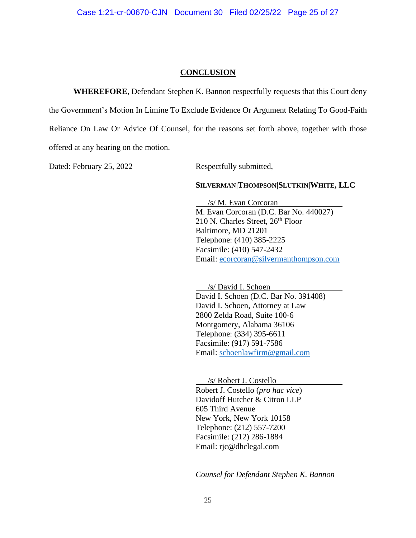## **CONCLUSION**

**WHEREFORE**, Defendant Stephen K. Bannon respectfully requests that this Court deny the Government's Motion In Limine To Exclude Evidence Or Argument Relating To Good-Faith Reliance On Law Or Advice Of Counsel, for the reasons set forth above, together with those offered at any hearing on the motion.

Dated: February 25, 2022 Respectfully submitted,

### **SILVERMAN|THOMPSON|SLUTKIN|WHITE, LLC**

 /s/ M. Evan Corcoran M. Evan Corcoran (D.C. Bar No. 440027) 210 N. Charles Street, 26<sup>th</sup> Floor Baltimore, MD 21201 Telephone: (410) 385-2225 Facsimile: (410) 547-2432 Email: [ecorcoran@silvermanthompson.com](mailto:ecorcoran@silvermanthompson.com)

 /s/ David I. Schoen David I. Schoen (D.C. Bar No. 391408) David I. Schoen, Attorney at Law 2800 Zelda Road, Suite 100-6 Montgomery, Alabama 36106 Telephone: (334) 395-6611 Facsimile: (917) 591-7586 Email: [schoenlawfirm@gmail.com](mailto:schoenlawfirm@gmail.com)

 /s/ Robert J. Costello Robert J. Costello (*pro hac vice*) Davidoff Hutcher & Citron LLP 605 Third Avenue New York, New York 10158 Telephone: (212) 557-7200 Facsimile: (212) 286-1884 Email: rjc@dhclegal.com

*Counsel for Defendant Stephen K. Bannon*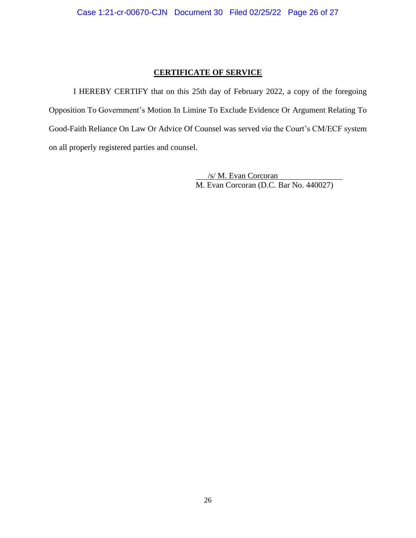# **CERTIFICATE OF SERVICE**

I HEREBY CERTIFY that on this 25th day of February 2022, a copy of the foregoing Opposition To Government's Motion In Limine To Exclude Evidence Or Argument Relating To Good-Faith Reliance On Law Or Advice Of Counsel was served *via* the Court's CM/ECF system on all properly registered parties and counsel.

> /s/ M. Evan Corcoran M. Evan Corcoran (D.C. Bar No. 440027)